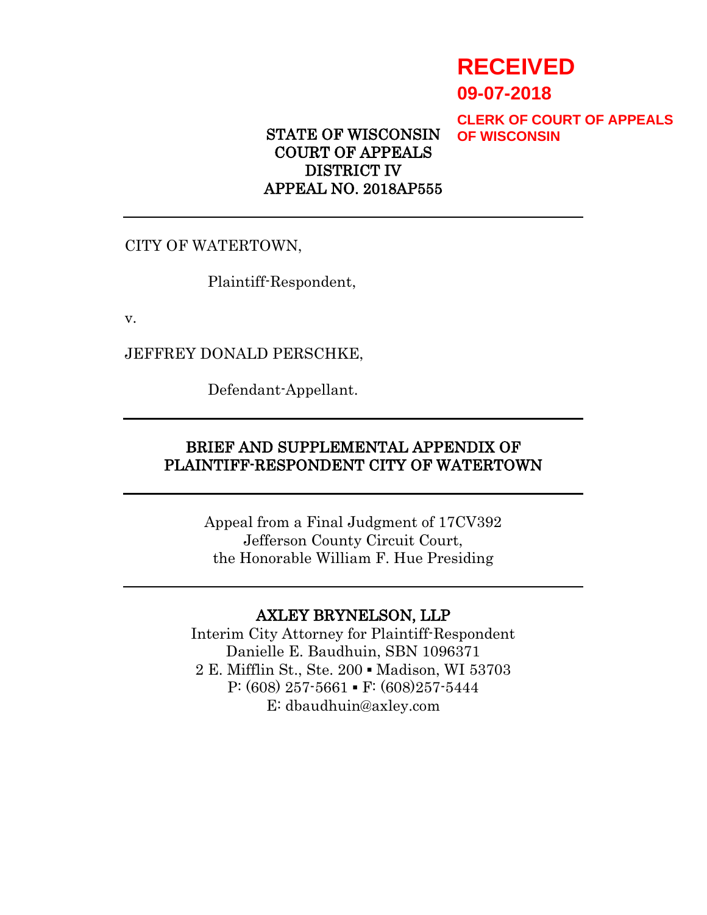# **RECEIVED**

**09-07-2018**

**CLERK OF COURT OF APPEALS OF WISCONSIN**

STATE OF WISCONSIN COURT OF APPEALS DISTRICT IV APPEAL NO. 2018AP555

CITY OF WATERTOWN,

Plaintiff-Respondent,

v.

JEFFREY DONALD PERSCHKE,

Defendant-Appellant.

# BRIEF AND SUPPLEMENTAL APPENDIX OF PLAINTIFF-RESPONDENT CITY OF WATERTOWN

Appeal from a Final Judgment of 17CV392 Jefferson County Circuit Court, the Honorable William F. Hue Presiding

# AXLEY BRYNELSON, LLP

Interim City Attorney for Plaintiff-Respondent Danielle E. Baudhuin, SBN 1096371 2 E. Mifflin St., Ste. 200 ▪ Madison, WI 53703 P:  $(608)$  257-5661 • F:  $(608)$ 257-5444 E: dbaudhuin@axley.com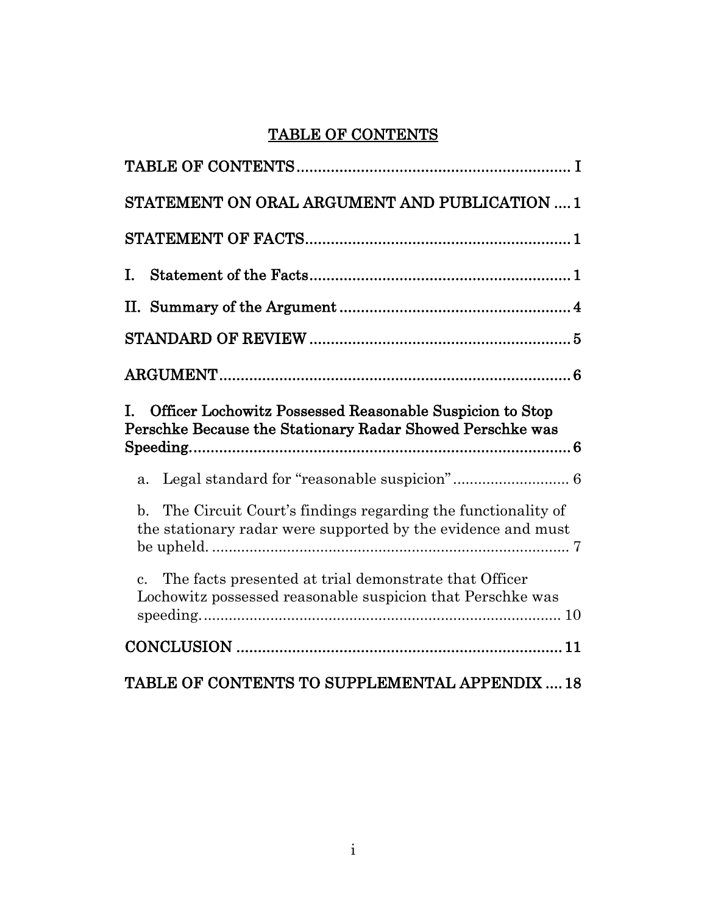# <span id="page-1-0"></span>TABLE OF CONTENTS

| STATEMENT ON ORAL ARGUMENT AND PUBLICATION  1                                                                                                 |
|-----------------------------------------------------------------------------------------------------------------------------------------------|
|                                                                                                                                               |
| I.                                                                                                                                            |
|                                                                                                                                               |
|                                                                                                                                               |
|                                                                                                                                               |
| Officer Lochowitz Possessed Reasonable Suspicion to Stop<br>T.<br>Perschke Because the Stationary Radar Showed Perschke was                   |
| Legal standard for "reasonable suspicion" 6<br>a.                                                                                             |
| The Circuit Court's findings regarding the functionality of<br>$\mathbf{b}$ .<br>the stationary radar were supported by the evidence and must |
| The facts presented at trial demonstrate that Officer<br>$\mathbf{c}$ .<br>Lochowitz possessed reasonable suspicion that Perschke was         |
|                                                                                                                                               |
|                                                                                                                                               |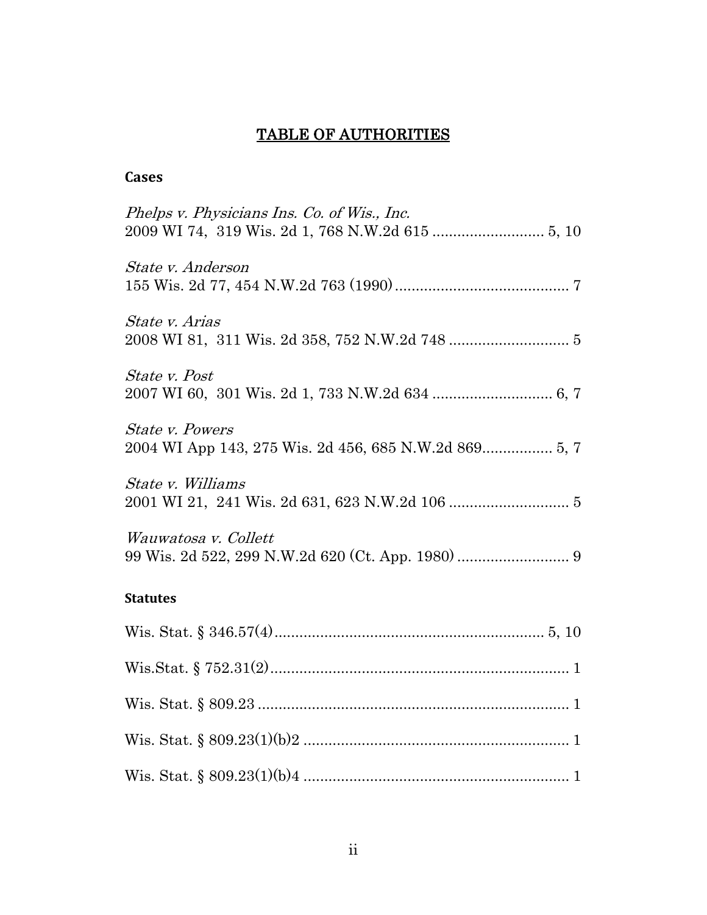# TABLE OF AUTHORITIES

# **Cases**

| Phelps v. Physicians Ins. Co. of Wis., Inc. |
|---------------------------------------------|
| State v. Anderson                           |
| State v. Arias                              |
| <i>State v. Post</i>                        |
| <b>State v. Powers</b>                      |
| State v. Williams                           |
| Wauwatosa v. Collett                        |
| <b>Statutes</b>                             |
|                                             |
|                                             |
|                                             |
|                                             |
|                                             |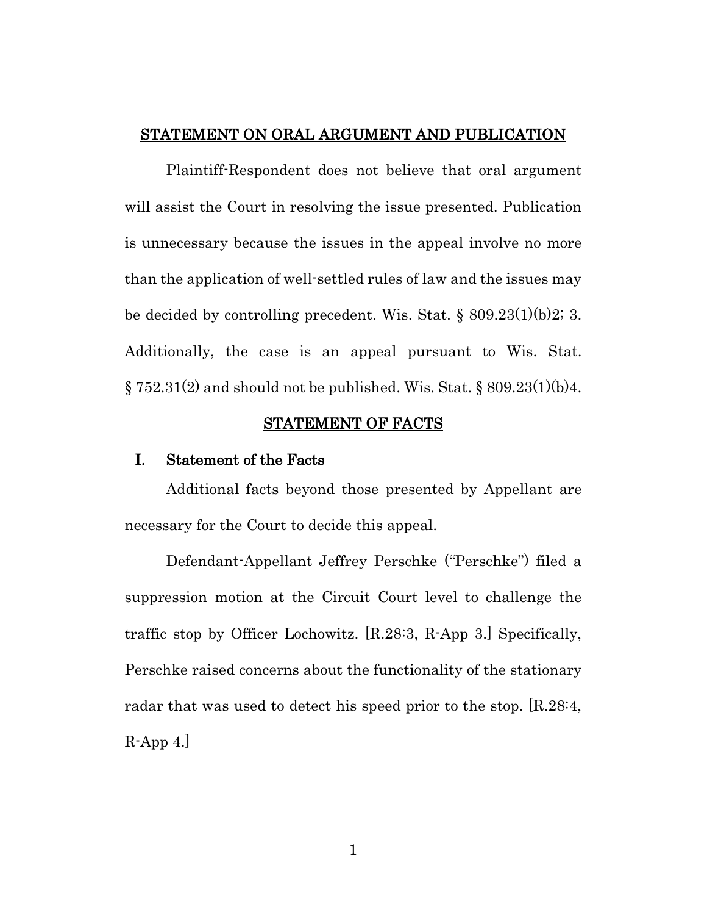#### <span id="page-3-0"></span>STATEMENT ON ORAL ARGUMENT AND PUBLICATION

Plaintiff-Respondent does not believe that oral argument will assist the Court in resolving the issue presented. Publication is unnecessary because the issues in the appeal involve no more than the application of well-settled rules of law and the issues may be decided by controlling precedent. Wis. Stat. § 809.23(1)(b)2; 3. Additionally, the case is an appeal pursuant to Wis. Stat.  $\S 752.31(2)$  and should not be published. Wis. Stat.  $\S 809.23(1)(b)4$ .

#### STATEMENT OF FACTS

#### <span id="page-3-2"></span><span id="page-3-1"></span>I. Statement of the Facts

Additional facts beyond those presented by Appellant are necessary for the Court to decide this appeal.

Defendant-Appellant Jeffrey Perschke ("Perschke") filed a suppression motion at the Circuit Court level to challenge the traffic stop by Officer Lochowitz. [R.28:3, R-App 3.] Specifically, Perschke raised concerns about the functionality of the stationary radar that was used to detect his speed prior to the stop. [R.28:4, R-App 4.]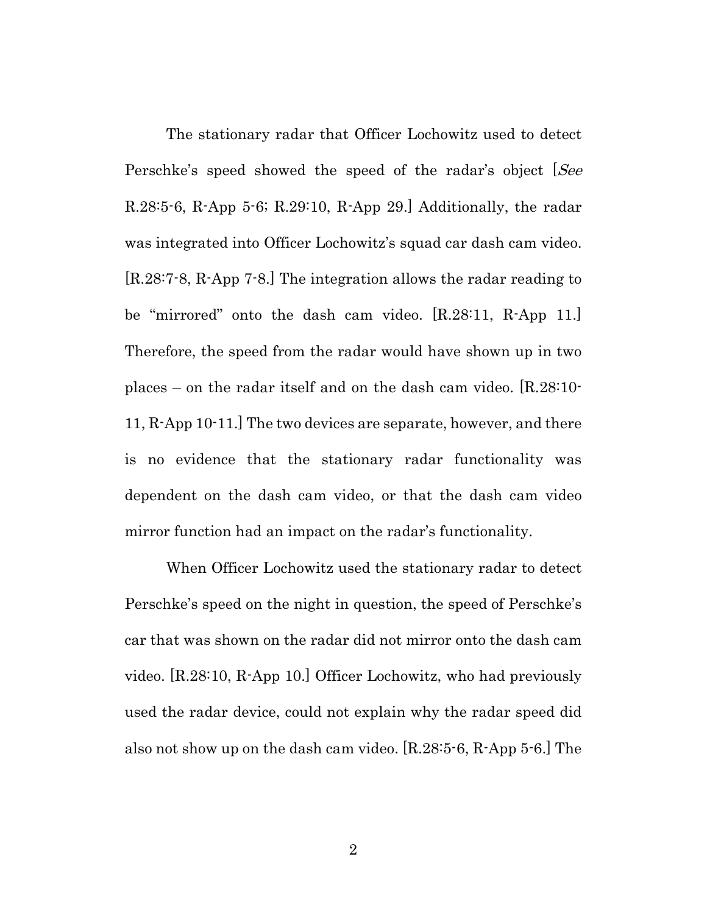The stationary radar that Officer Lochowitz used to detect Perschke's speed showed the speed of the radar's object [See R.28:5-6, R-App 5-6; R.29:10, R-App 29.] Additionally, the radar was integrated into Officer Lochowitz's squad car dash cam video. [R.28:7-8, R-App 7-8.] The integration allows the radar reading to be "mirrored" onto the dash cam video. [R.28:11, R-App 11.] Therefore, the speed from the radar would have shown up in two places – on the radar itself and on the dash cam video. [R.28:10- 11, R-App 10-11.] The two devices are separate, however, and there is no evidence that the stationary radar functionality was dependent on the dash cam video, or that the dash cam video mirror function had an impact on the radar's functionality.

When Officer Lochowitz used the stationary radar to detect Perschke's speed on the night in question, the speed of Perschke's car that was shown on the radar did not mirror onto the dash cam video. [R.28:10, R-App 10.] Officer Lochowitz, who had previously used the radar device, could not explain why the radar speed did also not show up on the dash cam video. [R.28:5-6, R-App 5-6.] The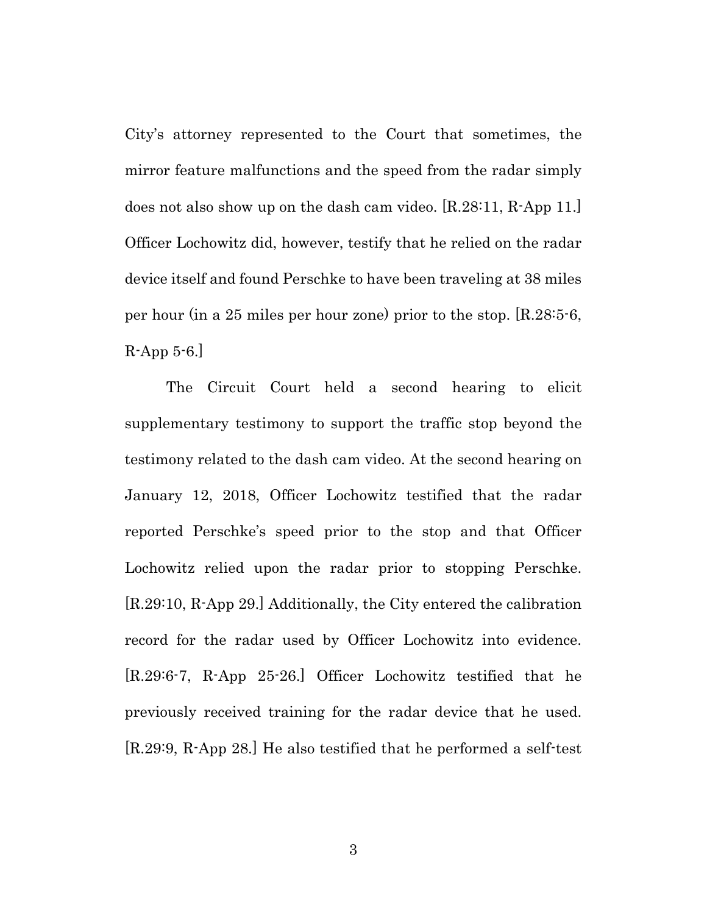City's attorney represented to the Court that sometimes, the mirror feature malfunctions and the speed from the radar simply does not also show up on the dash cam video. [R.28:11, R-App 11.] Officer Lochowitz did, however, testify that he relied on the radar device itself and found Perschke to have been traveling at 38 miles per hour (in a 25 miles per hour zone) prior to the stop. [R.28:5-6,  $R$ -App 5-6.

The Circuit Court held a second hearing to elicit supplementary testimony to support the traffic stop beyond the testimony related to the dash cam video. At the second hearing on January 12, 2018, Officer Lochowitz testified that the radar reported Perschke's speed prior to the stop and that Officer Lochowitz relied upon the radar prior to stopping Perschke. [R.29:10, R-App 29.] Additionally, the City entered the calibration record for the radar used by Officer Lochowitz into evidence. [R.29:6-7, R-App 25-26.] Officer Lochowitz testified that he previously received training for the radar device that he used. [R.29:9, R-App 28.] He also testified that he performed a self-test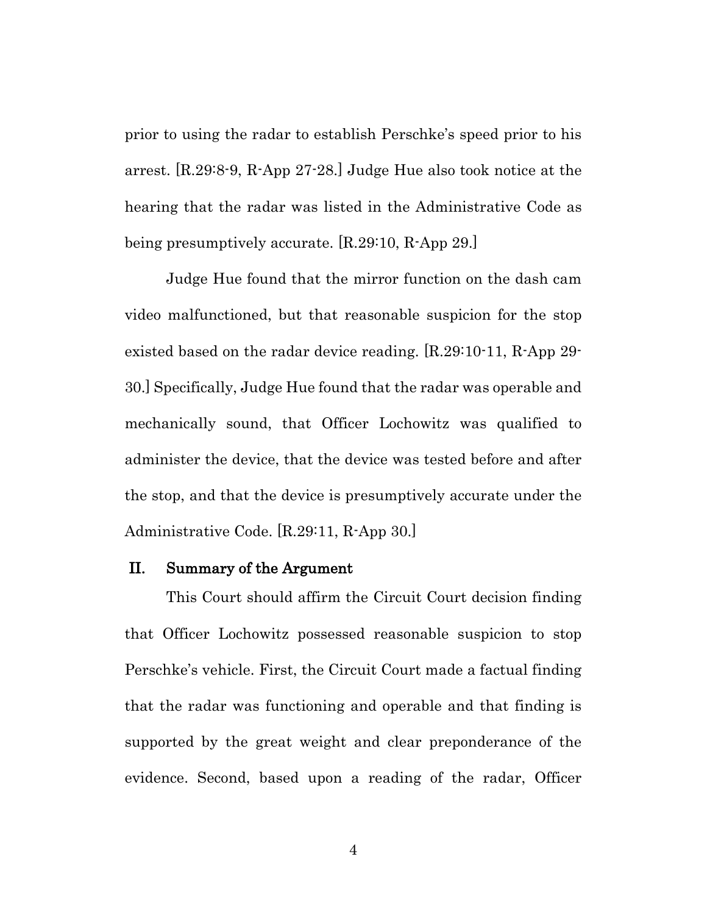prior to using the radar to establish Perschke's speed prior to his arrest. [R.29:8-9, R-App 27-28.] Judge Hue also took notice at the hearing that the radar was listed in the Administrative Code as being presumptively accurate. [R.29:10, R-App 29.]

Judge Hue found that the mirror function on the dash cam video malfunctioned, but that reasonable suspicion for the stop existed based on the radar device reading. [R.29:10-11, R-App 29- 30.] Specifically, Judge Hue found that the radar was operable and mechanically sound, that Officer Lochowitz was qualified to administer the device, that the device was tested before and after the stop, and that the device is presumptively accurate under the Administrative Code. [R.29:11, R-App 30.]

#### <span id="page-6-0"></span>II. Summary of the Argument

This Court should affirm the Circuit Court decision finding that Officer Lochowitz possessed reasonable suspicion to stop Perschke's vehicle. First, the Circuit Court made a factual finding that the radar was functioning and operable and that finding is supported by the great weight and clear preponderance of the evidence. Second, based upon a reading of the radar, Officer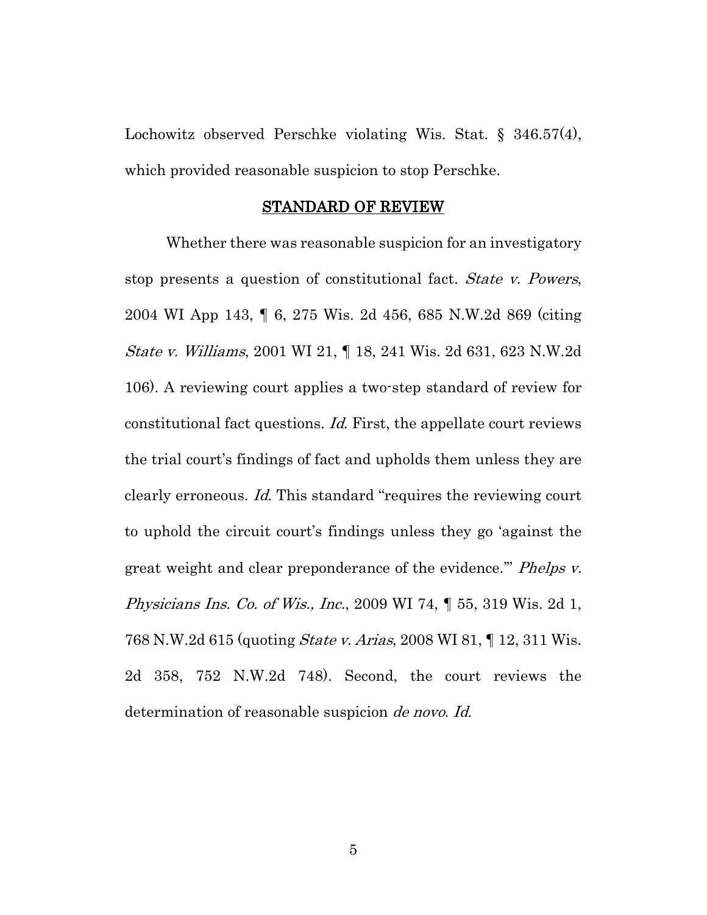Lochowitz observed Perschke violating Wis. Stat. § 346.57(4), which provided reasonable suspicion to stop Perschke.

#### STANDARD OF REVIEW

<span id="page-7-0"></span>Whether there was reasonable suspicion for an investigatory stop presents a question of constitutional fact. State v. Powers, 2004 WI App 143, ¶ 6, 275 Wis. 2d 456, 685 N.W.2d 869 (citing State v. Williams, 2001 WI 21, ¶ 18, 241 Wis. 2d 631, 623 N.W.2d 106). A reviewing court applies a two-step standard of review for constitutional fact questions. Id. First, the appellate court reviews the trial court's findings of fact and upholds them unless they are clearly erroneous. Id. This standard "requires the reviewing court to uphold the circuit court's findings unless they go 'against the great weight and clear preponderance of the evidence." *Phelps v.* Physicians Ins. Co. of Wis., Inc., 2009 WI 74, ¶ 55, 319 Wis. 2d 1, 768 N.W.2d 615 (quoting State v. Arias, 2008 WI 81, ¶ 12, 311 Wis. 2d 358, 752 N.W.2d 748). Second, the court reviews the determination of reasonable suspicion *de novo. Id.* 

5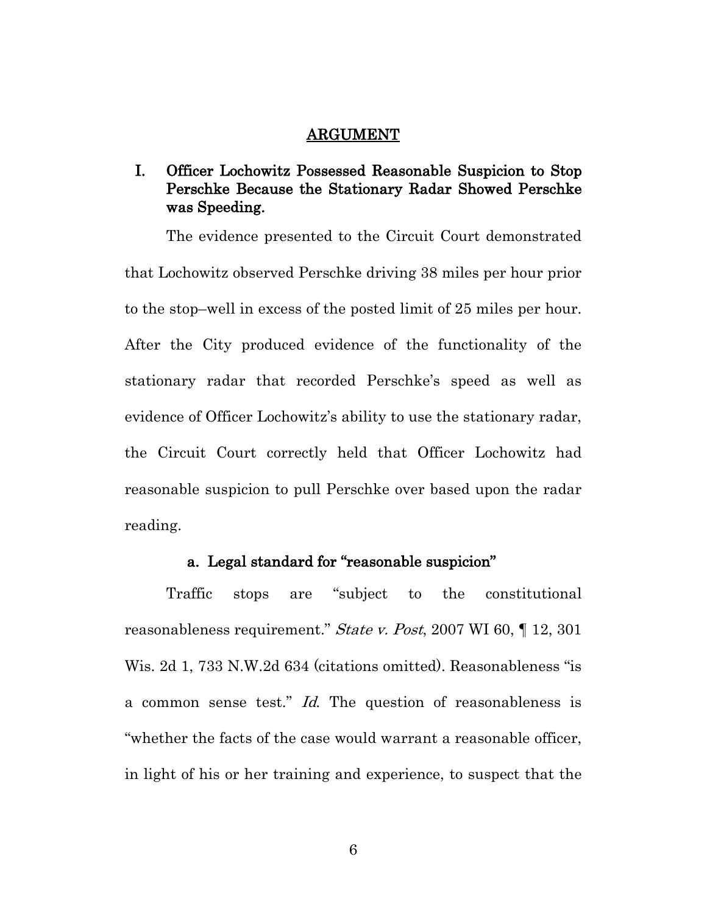#### ARGUMENT

# <span id="page-8-1"></span><span id="page-8-0"></span>I. Officer Lochowitz Possessed Reasonable Suspicion to Stop Perschke Because the Stationary Radar Showed Perschke was Speeding.

The evidence presented to the Circuit Court demonstrated that Lochowitz observed Perschke driving 38 miles per hour prior to the stop–well in excess of the posted limit of 25 miles per hour. After the City produced evidence of the functionality of the stationary radar that recorded Perschke's speed as well as evidence of Officer Lochowitz's ability to use the stationary radar, the Circuit Court correctly held that Officer Lochowitz had reasonable suspicion to pull Perschke over based upon the radar reading.

### a. Legal standard for "reasonable suspicion"

<span id="page-8-2"></span>Traffic stops are "subject to the constitutional reasonableness requirement." *State v. Post*, 2007 WI 60, 1 12, 301 Wis. 2d 1, 733 N.W.2d 634 (citations omitted). Reasonableness "is a common sense test." Id. The question of reasonableness is "whether the facts of the case would warrant a reasonable officer, in light of his or her training and experience, to suspect that the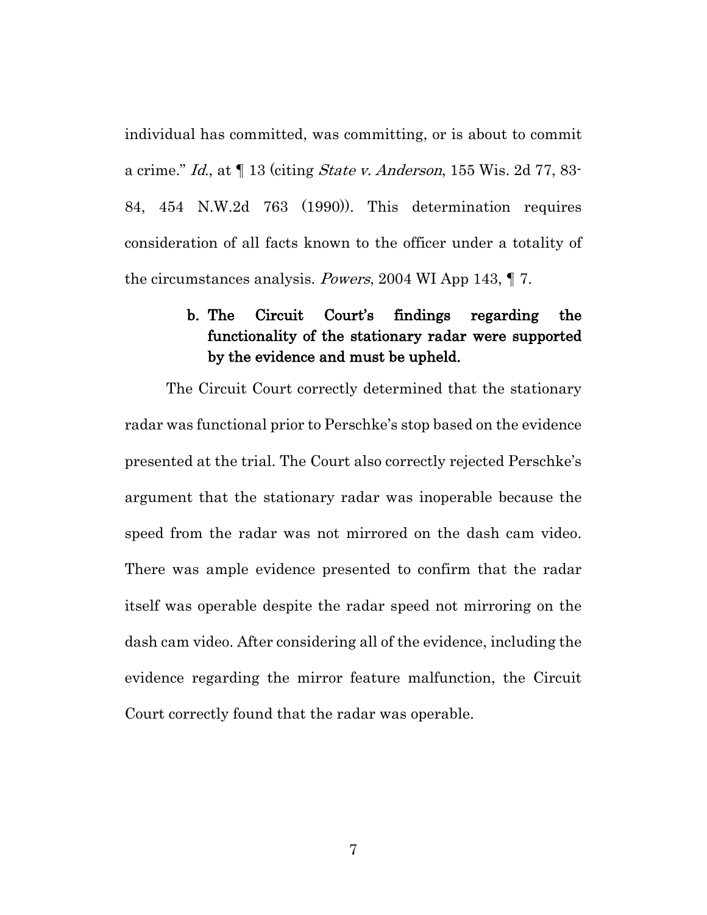individual has committed, was committing, or is about to commit a crime." Id., at  $\P$  13 (citing *State v. Anderson*, 155 Wis. 2d 77, 83-84, 454 N.W.2d 763 (1990)). This determination requires consideration of all facts known to the officer under a totality of the circumstances analysis. Powers, 2004 WI App 143, ¶ 7.

# <span id="page-9-0"></span>b. The Circuit Court's findings regarding the functionality of the stationary radar were supported by the evidence and must be upheld.

The Circuit Court correctly determined that the stationary radar was functional prior to Perschke's stop based on the evidence presented at the trial. The Court also correctly rejected Perschke's argument that the stationary radar was inoperable because the speed from the radar was not mirrored on the dash cam video. There was ample evidence presented to confirm that the radar itself was operable despite the radar speed not mirroring on the dash cam video. After considering all of the evidence, including the evidence regarding the mirror feature malfunction, the Circuit Court correctly found that the radar was operable.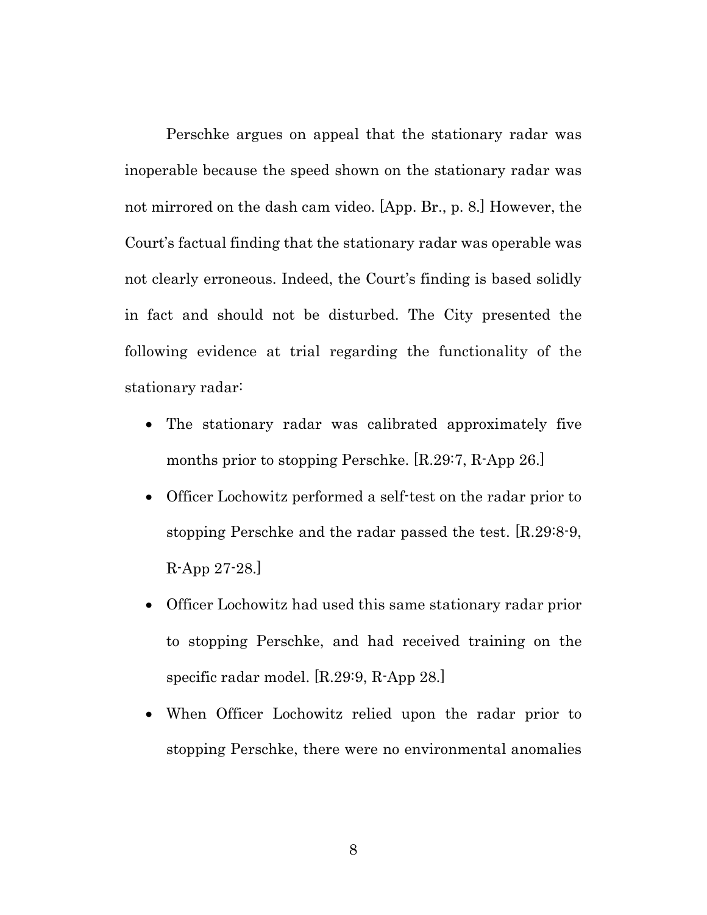Perschke argues on appeal that the stationary radar was inoperable because the speed shown on the stationary radar was not mirrored on the dash cam video. [App. Br., p. 8.] However, the Court's factual finding that the stationary radar was operable was not clearly erroneous. Indeed, the Court's finding is based solidly in fact and should not be disturbed. The City presented the following evidence at trial regarding the functionality of the stationary radar:

- The stationary radar was calibrated approximately five months prior to stopping Perschke. [R.29:7, R-App 26.]
- Officer Lochowitz performed a self-test on the radar prior to stopping Perschke and the radar passed the test. [R.29:8-9, R-App 27-28.]
- Officer Lochowitz had used this same stationary radar prior to stopping Perschke, and had received training on the specific radar model. [R.29:9, R-App 28.]
- When Officer Lochowitz relied upon the radar prior to stopping Perschke, there were no environmental anomalies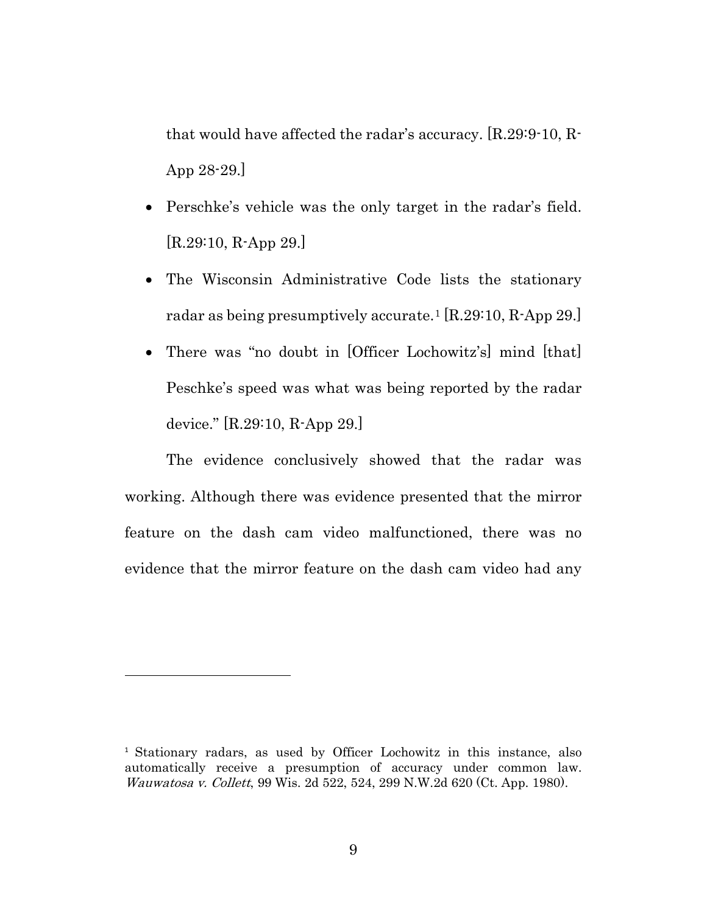that would have affected the radar's accuracy. [R.29:9-10, R-App 28-29.]

- Perschke's vehicle was the only target in the radar's field. [R.29:10, R-App 29.]
- The Wisconsin Administrative Code lists the stationary radar as being presumptively accurate.[1](#page-11-0) [R.29:10, R-App 29.]
- There was "no doubt in [Officer Lochowitz's] mind [that] Peschke's speed was what was being reported by the radar device." [R.29:10, R-App 29.]

The evidence conclusively showed that the radar was working. Although there was evidence presented that the mirror feature on the dash cam video malfunctioned, there was no evidence that the mirror feature on the dash cam video had any

l

<span id="page-11-0"></span><sup>1</sup> Stationary radars, as used by Officer Lochowitz in this instance, also automatically receive a presumption of accuracy under common law. Wauwatosa v. Collett, 99 Wis. 2d 522, 524, 299 N.W.2d 620 (Ct. App. 1980).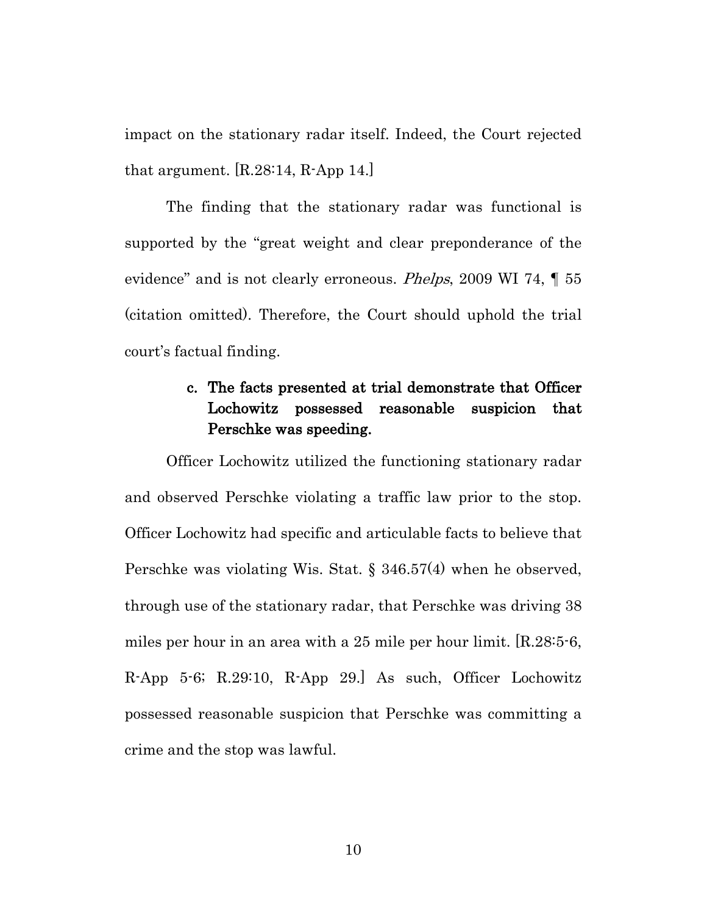impact on the stationary radar itself. Indeed, the Court rejected that argument. [R.28:14, R-App 14.]

The finding that the stationary radar was functional is supported by the "great weight and clear preponderance of the evidence" and is not clearly erroneous. *Phelps*, 2009 WI 74, 155 (citation omitted). Therefore, the Court should uphold the trial court's factual finding.

# <span id="page-12-0"></span>c. The facts presented at trial demonstrate that Officer Lochowitz possessed reasonable suspicion that Perschke was speeding.

Officer Lochowitz utilized the functioning stationary radar and observed Perschke violating a traffic law prior to the stop. Officer Lochowitz had specific and articulable facts to believe that Perschke was violating Wis. Stat. § 346.57(4) when he observed, through use of the stationary radar, that Perschke was driving 38 miles per hour in an area with a 25 mile per hour limit. [R.28:5-6, R-App 5-6; R.29:10, R-App 29.] As such, Officer Lochowitz possessed reasonable suspicion that Perschke was committing a crime and the stop was lawful.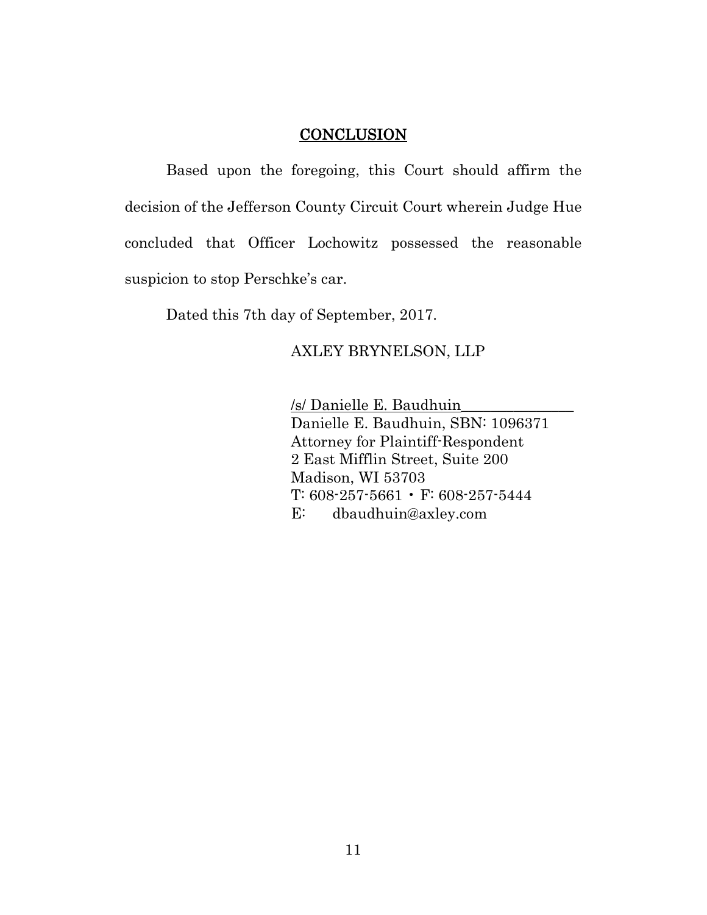## **CONCLUSION**

<span id="page-13-0"></span>Based upon the foregoing, this Court should affirm the decision of the Jefferson County Circuit Court wherein Judge Hue concluded that Officer Lochowitz possessed the reasonable suspicion to stop Perschke's car.

Dated this 7th day of September, 2017.

## AXLEY BRYNELSON, LLP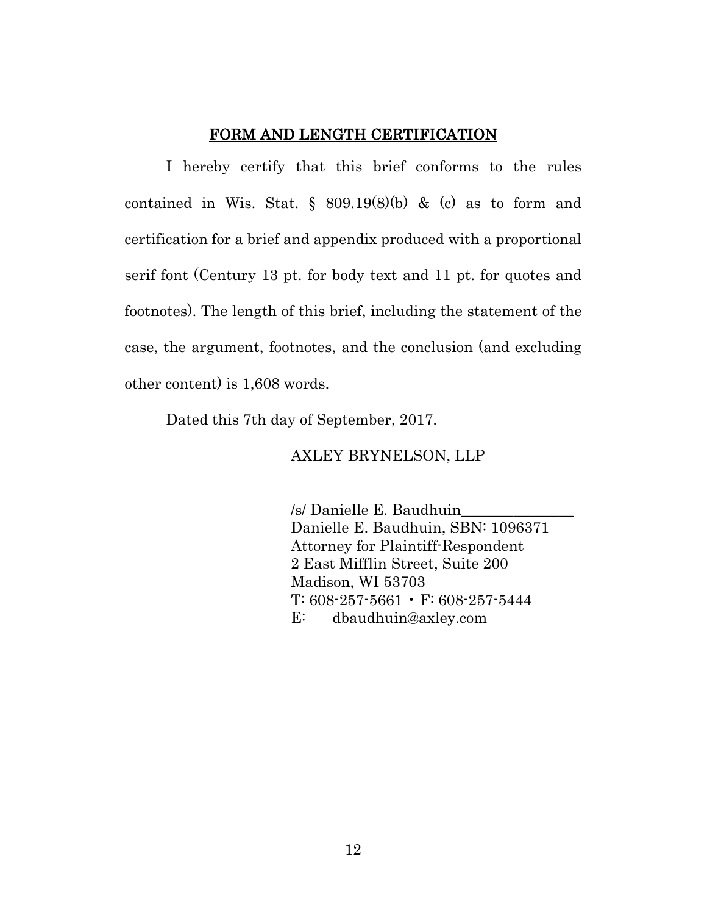#### FORM AND LENGTH CERTIFICATION

I hereby certify that this brief conforms to the rules contained in Wis. Stat.  $\S$  809.19(8)(b) & (c) as to form and certification for a brief and appendix produced with a proportional serif font (Century 13 pt. for body text and 11 pt. for quotes and footnotes). The length of this brief, including the statement of the case, the argument, footnotes, and the conclusion (and excluding other content) is 1,608 words.

Dated this 7th day of September, 2017.

AXLEY BRYNELSON, LLP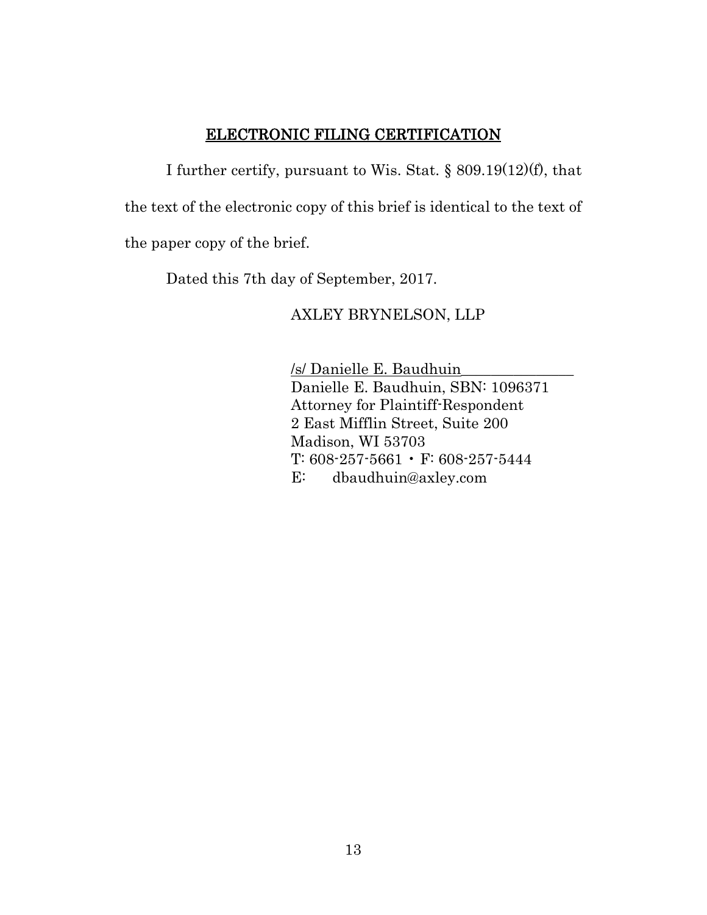# ELECTRONIC FILING CERTIFICATION

I further certify, pursuant to Wis. Stat. § 809.19(12)(f), that the text of the electronic copy of this brief is identical to the text of the paper copy of the brief.

Dated this 7th day of September, 2017.

## AXLEY BRYNELSON, LLP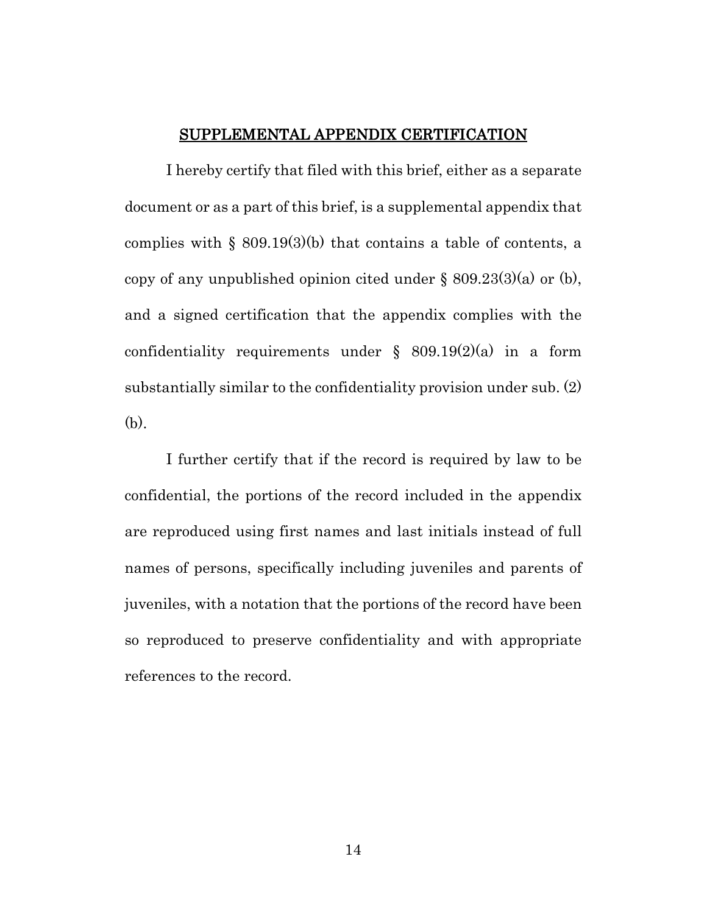#### SUPPLEMENTAL APPENDIX CERTIFICATION

I hereby certify that filed with this brief, either as a separate document or as a part of this brief, is a supplemental appendix that complies with  $\S$  809.19(3)(b) that contains a table of contents, a copy of any unpublished opinion cited under  $\S$  809.23(3)(a) or (b), and a signed certification that the appendix complies with the confidentiality requirements under  $\S$  809.19(2)(a) in a form substantially similar to the confidentiality provision under sub. (2) (b).

I further certify that if the record is required by law to be confidential, the portions of the record included in the appendix are reproduced using first names and last initials instead of full names of persons, specifically including juveniles and parents of juveniles, with a notation that the portions of the record have been so reproduced to preserve confidentiality and with appropriate references to the record.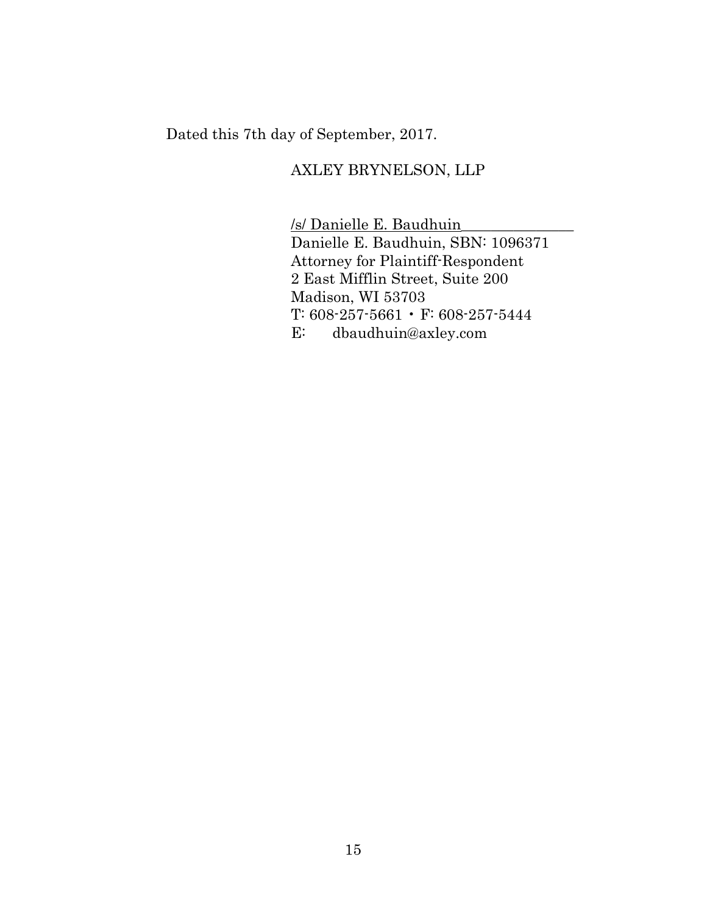Dated this 7th day of September, 2017.

# AXLEY BRYNELSON, LLP